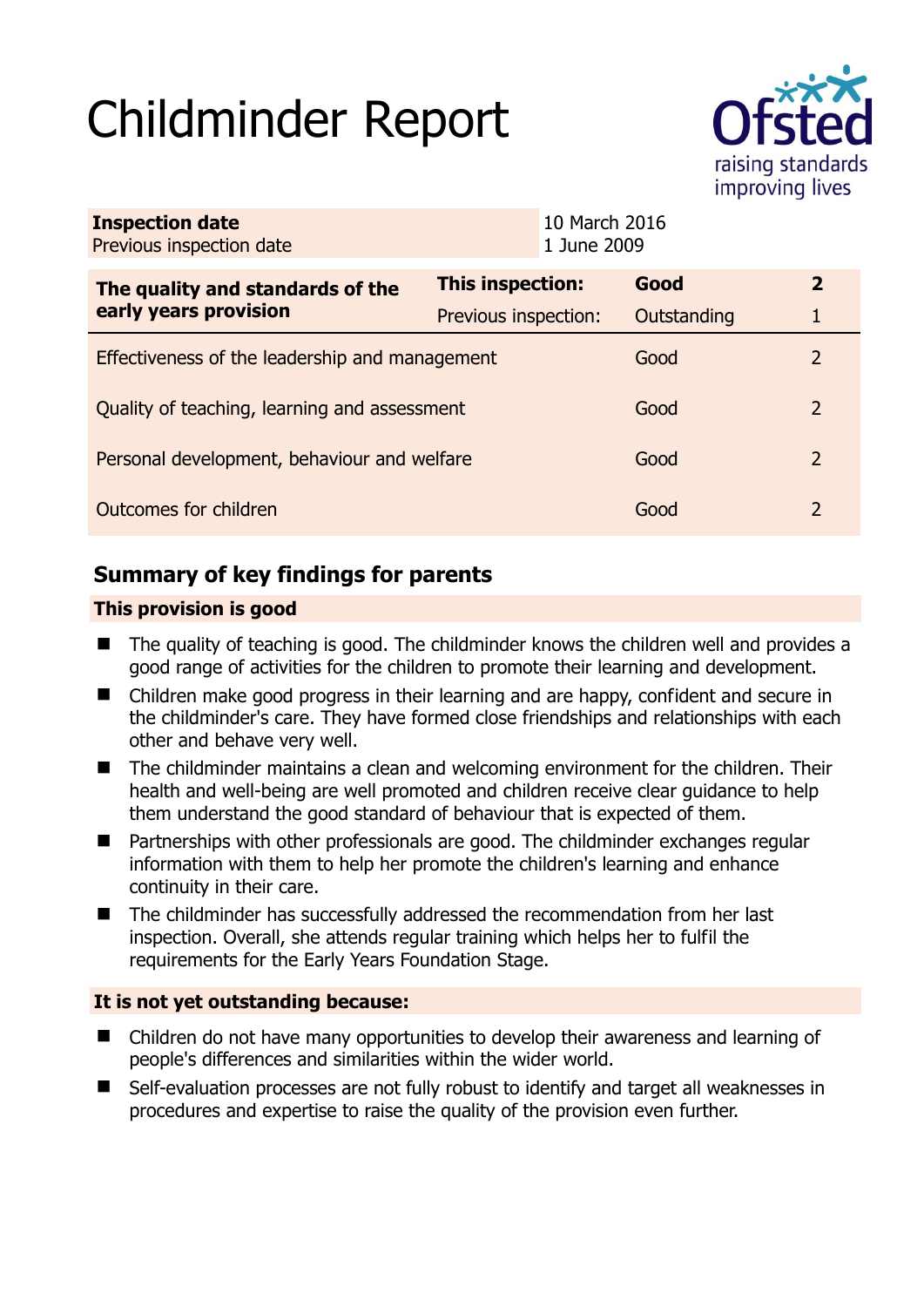# Childminder Report



| <b>Inspection date</b><br>Previous inspection date | 10 March 2016<br>1 June 2009 |  |             |               |
|----------------------------------------------------|------------------------------|--|-------------|---------------|
| The quality and standards of the                   | This inspection:             |  | Good        | $\mathbf{2}$  |
| early years provision                              | Previous inspection:         |  | Outstanding |               |
| Effectiveness of the leadership and management     |                              |  | Good        | $\mathcal{P}$ |
| Quality of teaching, learning and assessment       |                              |  | Good        | $\mathcal{L}$ |
| Personal development, behaviour and welfare        |                              |  | Good        | 2             |
| Outcomes for children                              |                              |  | Good        | 2             |

# **Summary of key findings for parents**

# **This provision is good**

- The quality of teaching is good. The childminder knows the children well and provides a good range of activities for the children to promote their learning and development.
- Children make good progress in their learning and are happy, confident and secure in the childminder's care. They have formed close friendships and relationships with each other and behave very well.
- The childminder maintains a clean and welcoming environment for the children. Their health and well-being are well promoted and children receive clear guidance to help them understand the good standard of behaviour that is expected of them.
- Partnerships with other professionals are good. The childminder exchanges regular information with them to help her promote the children's learning and enhance continuity in their care.
- The childminder has successfully addressed the recommendation from her last inspection. Overall, she attends regular training which helps her to fulfil the requirements for the Early Years Foundation Stage.

# **It is not yet outstanding because:**

- Children do not have many opportunities to develop their awareness and learning of people's differences and similarities within the wider world.
- Self-evaluation processes are not fully robust to identify and target all weaknesses in procedures and expertise to raise the quality of the provision even further.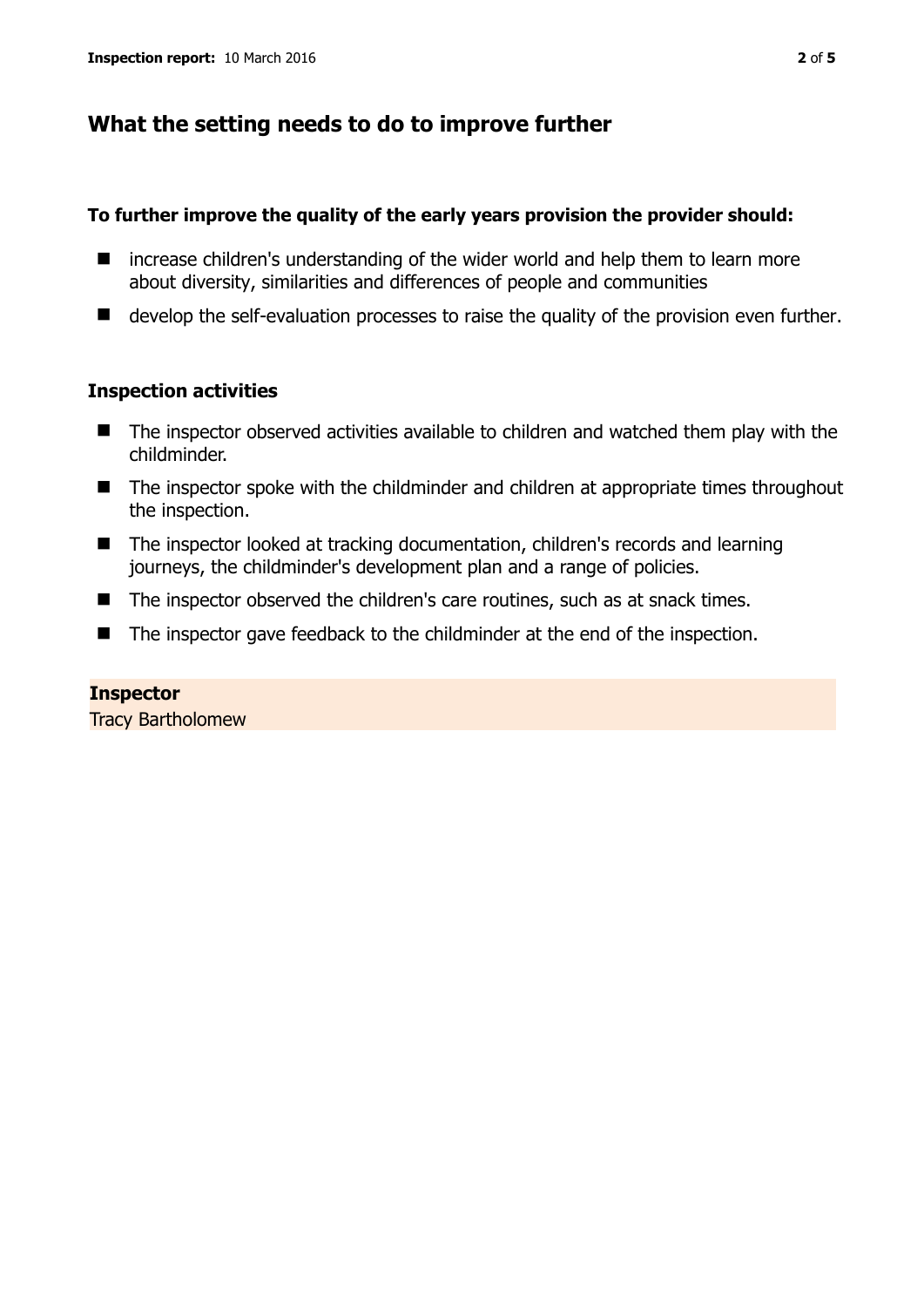# **What the setting needs to do to improve further**

#### **To further improve the quality of the early years provision the provider should:**

- $\blacksquare$  increase children's understanding of the wider world and help them to learn more about diversity, similarities and differences of people and communities
- $\blacksquare$  develop the self-evaluation processes to raise the quality of the provision even further.

## **Inspection activities**

- The inspector observed activities available to children and watched them play with the childminder.
- The inspector spoke with the childminder and children at appropriate times throughout the inspection.
- The inspector looked at tracking documentation, children's records and learning journeys, the childminder's development plan and a range of policies.
- The inspector observed the children's care routines, such as at snack times.
- The inspector gave feedback to the childminder at the end of the inspection.

#### **Inspector**

Tracy Bartholomew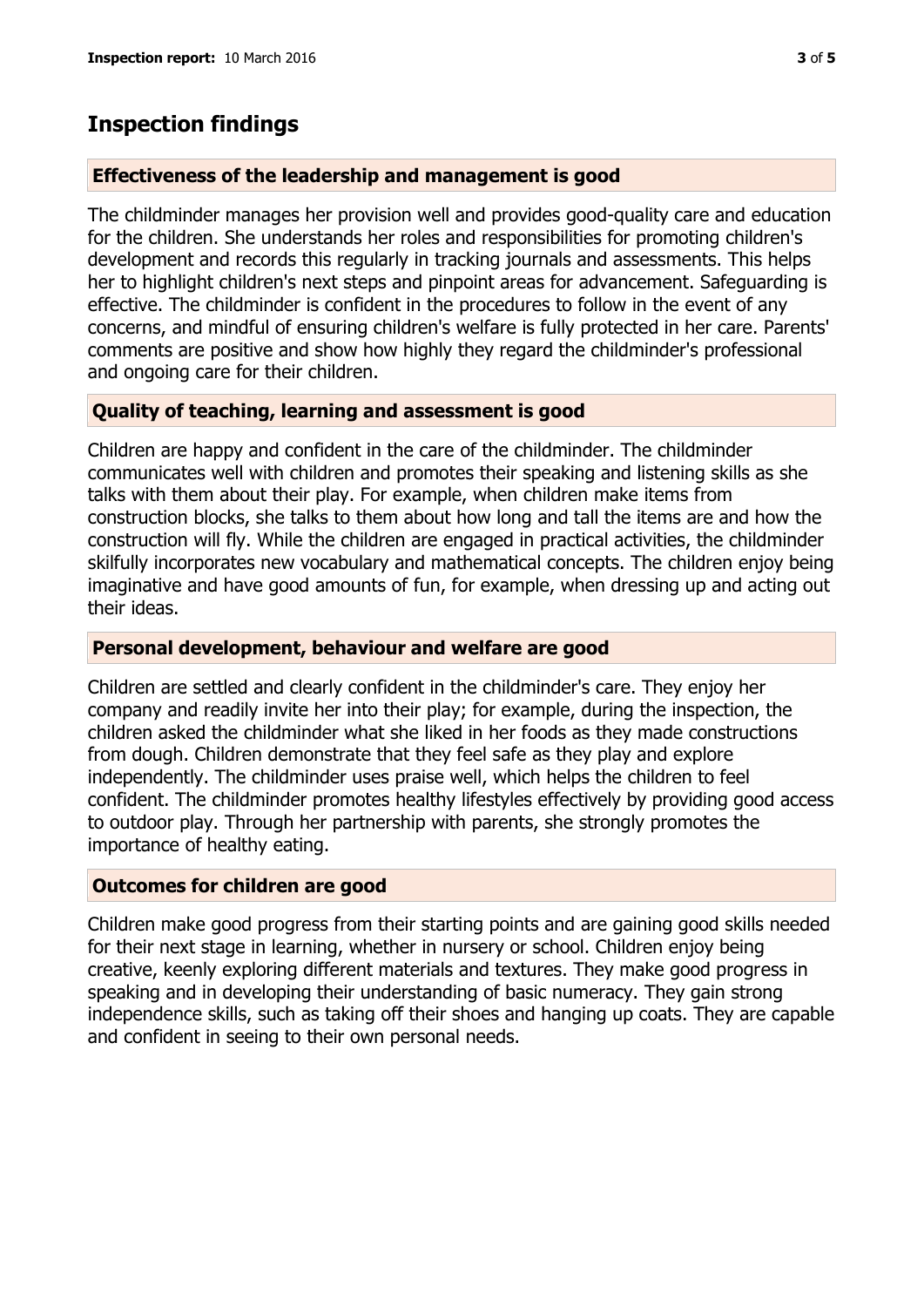# **Inspection findings**

## **Effectiveness of the leadership and management is good**

The childminder manages her provision well and provides good-quality care and education for the children. She understands her roles and responsibilities for promoting children's development and records this regularly in tracking journals and assessments. This helps her to highlight children's next steps and pinpoint areas for advancement. Safeguarding is effective. The childminder is confident in the procedures to follow in the event of any concerns, and mindful of ensuring children's welfare is fully protected in her care. Parents' comments are positive and show how highly they regard the childminder's professional and ongoing care for their children.

# **Quality of teaching, learning and assessment is good**

Children are happy and confident in the care of the childminder. The childminder communicates well with children and promotes their speaking and listening skills as she talks with them about their play. For example, when children make items from construction blocks, she talks to them about how long and tall the items are and how the construction will fly. While the children are engaged in practical activities, the childminder skilfully incorporates new vocabulary and mathematical concepts. The children enjoy being imaginative and have good amounts of fun, for example, when dressing up and acting out their ideas.

## **Personal development, behaviour and welfare are good**

Children are settled and clearly confident in the childminder's care. They enjoy her company and readily invite her into their play; for example, during the inspection, the children asked the childminder what she liked in her foods as they made constructions from dough. Children demonstrate that they feel safe as they play and explore independently. The childminder uses praise well, which helps the children to feel confident. The childminder promotes healthy lifestyles effectively by providing good access to outdoor play. Through her partnership with parents, she strongly promotes the importance of healthy eating.

# **Outcomes for children are good**

Children make good progress from their starting points and are gaining good skills needed for their next stage in learning, whether in nursery or school. Children enjoy being creative, keenly exploring different materials and textures. They make good progress in speaking and in developing their understanding of basic numeracy. They gain strong independence skills, such as taking off their shoes and hanging up coats. They are capable and confident in seeing to their own personal needs.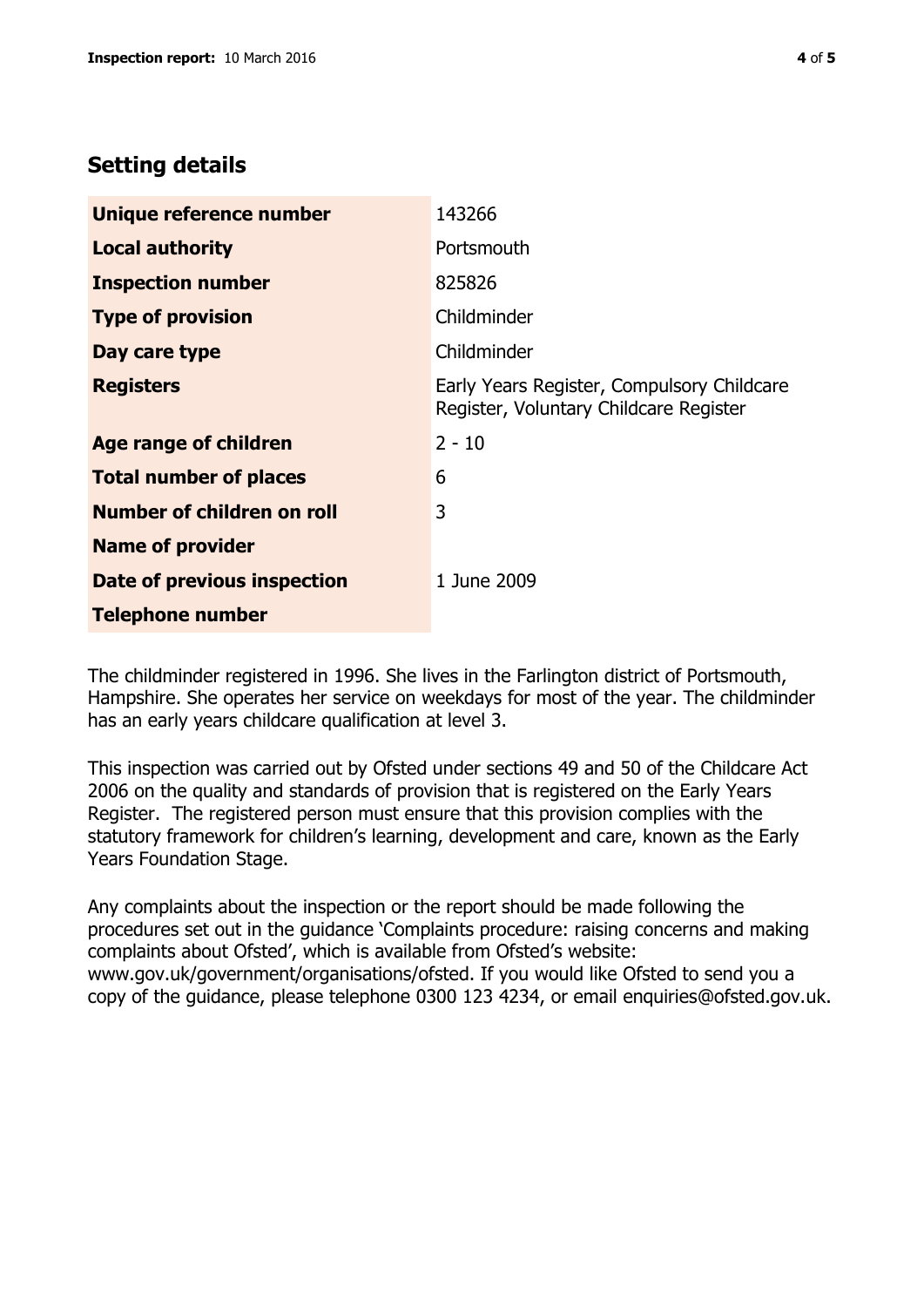# **Setting details**

| Unique reference number       | 143266                                                                               |  |
|-------------------------------|--------------------------------------------------------------------------------------|--|
| <b>Local authority</b>        | Portsmouth                                                                           |  |
| <b>Inspection number</b>      | 825826                                                                               |  |
| <b>Type of provision</b>      | Childminder                                                                          |  |
| Day care type                 | Childminder                                                                          |  |
| <b>Registers</b>              | Early Years Register, Compulsory Childcare<br>Register, Voluntary Childcare Register |  |
| <b>Age range of children</b>  | $2 - 10$                                                                             |  |
| <b>Total number of places</b> | 6                                                                                    |  |
| Number of children on roll    | 3                                                                                    |  |
| <b>Name of provider</b>       |                                                                                      |  |
| Date of previous inspection   | 1 June 2009                                                                          |  |
| <b>Telephone number</b>       |                                                                                      |  |

The childminder registered in 1996. She lives in the Farlington district of Portsmouth, Hampshire. She operates her service on weekdays for most of the year. The childminder has an early years childcare qualification at level 3.

This inspection was carried out by Ofsted under sections 49 and 50 of the Childcare Act 2006 on the quality and standards of provision that is registered on the Early Years Register. The registered person must ensure that this provision complies with the statutory framework for children's learning, development and care, known as the Early Years Foundation Stage.

Any complaints about the inspection or the report should be made following the procedures set out in the guidance 'Complaints procedure: raising concerns and making complaints about Ofsted', which is available from Ofsted's website: www.gov.uk/government/organisations/ofsted. If you would like Ofsted to send you a copy of the guidance, please telephone 0300 123 4234, or email enquiries@ofsted.gov.uk.